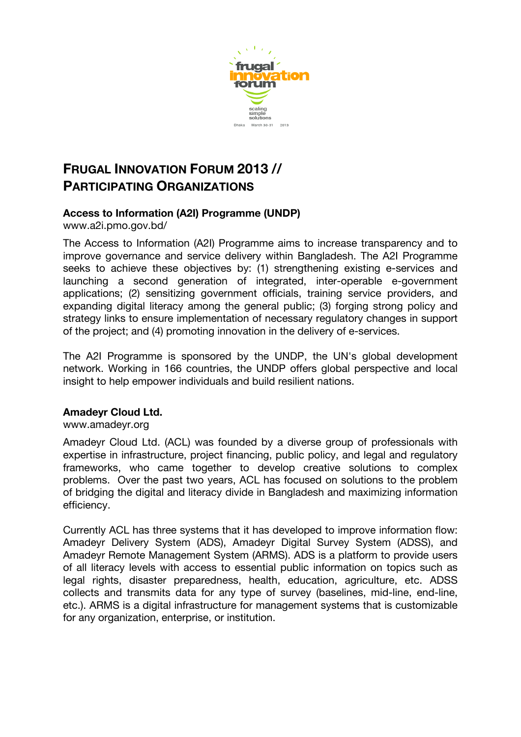

# **FRUGAL INNOVATION FORUM 2013 // PARTICIPATING ORGANIZATIONS**

# **Access to Information (A2I) Programme (UNDP)**

www.a2i.pmo.gov.bd/

The Access to Information (A2I) Programme aims to increase transparency and to improve governance and service delivery within Bangladesh. The A2I Programme seeks to achieve these objectives by: (1) strengthening existing e-services and launching a second generation of integrated, inter-operable e-government applications; (2) sensitizing government officials, training service providers, and expanding digital literacy among the general public; (3) forging strong policy and strategy links to ensure implementation of necessary regulatory changes in support of the project; and (4) promoting innovation in the delivery of e-services.

The A2I Programme is sponsored by the UNDP, the UN's global development network. Working in 166 countries, the UNDP offers global perspective and local insight to help empower individuals and build resilient nations.

# **Amadeyr Cloud Ltd.**

www.amadeyr.org

Amadeyr Cloud Ltd. (ACL) was founded by a diverse group of professionals with expertise in infrastructure, project financing, public policy, and legal and regulatory frameworks, who came together to develop creative solutions to complex problems. Over the past two years, ACL has focused on solutions to the problem of bridging the digital and literacy divide in Bangladesh and maximizing information efficiency.

Currently ACL has three systems that it has developed to improve information flow: Amadeyr Delivery System (ADS), Amadeyr Digital Survey System (ADSS), and Amadeyr Remote Management System (ARMS). ADS is a platform to provide users of all literacy levels with access to essential public information on topics such as legal rights, disaster preparedness, health, education, agriculture, etc. ADSS collects and transmits data for any type of survey (baselines, mid-line, end-line, etc.). ARMS is a digital infrastructure for management systems that is customizable for any organization, enterprise, or institution.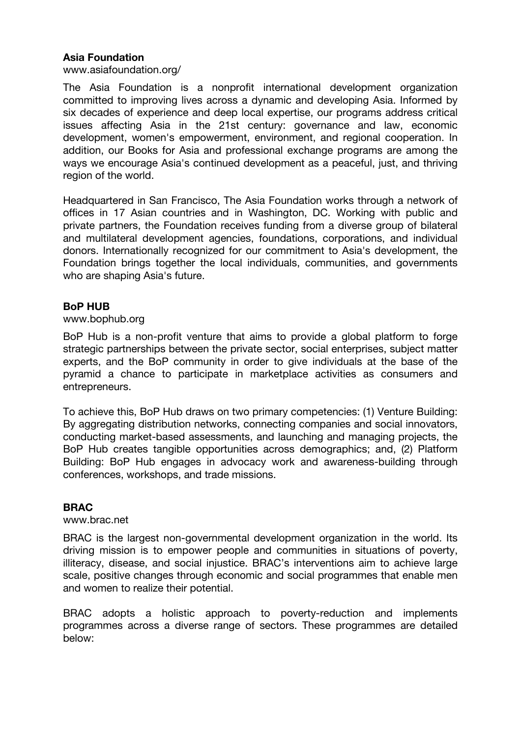## **Asia Foundation**

www.asiafoundation.org/

The Asia Foundation is a nonprofit international development organization committed to improving lives across a dynamic and developing Asia. Informed by six decades of experience and deep local expertise, our programs address critical issues affecting Asia in the 21st century: governance and law, economic development, women's empowerment, environment, and regional cooperation. In addition, our Books for Asia and professional exchange programs are among the ways we encourage Asia's continued development as a peaceful, just, and thriving region of the world.

Headquartered in San Francisco, The Asia Foundation works through a network of offices in 17 Asian countries and in Washington, DC. Working with public and private partners, the Foundation receives funding from a diverse group of bilateral and multilateral development agencies, foundations, corporations, and individual donors. Internationally recognized for our commitment to Asia's development, the Foundation brings together the local individuals, communities, and governments who are shaping Asia's future.

### **BoP HUB**

www.bophub.org

BoP Hub is a non-profit venture that aims to provide a global platform to forge strategic partnerships between the private sector, social enterprises, subject matter experts, and the BoP community in order to give individuals at the base of the pyramid a chance to participate in marketplace activities as consumers and entrepreneurs.

To achieve this, BoP Hub draws on two primary competencies: (1) Venture Building: By aggregating distribution networks, connecting companies and social innovators, conducting market-based assessments, and launching and managing projects, the BoP Hub creates tangible opportunities across demographics; and, (2) Platform Building: BoP Hub engages in advocacy work and awareness-building through conferences, workshops, and trade missions.

#### **BRAC**

www.brac.net

BRAC is the largest non-governmental development organization in the world. Its driving mission is to empower people and communities in situations of poverty, illiteracy, disease, and social injustice. BRAC's interventions aim to achieve large scale, positive changes through economic and social programmes that enable men and women to realize their potential.

BRAC adopts a holistic approach to poverty-reduction and implements programmes across a diverse range of sectors. These programmes are detailed below: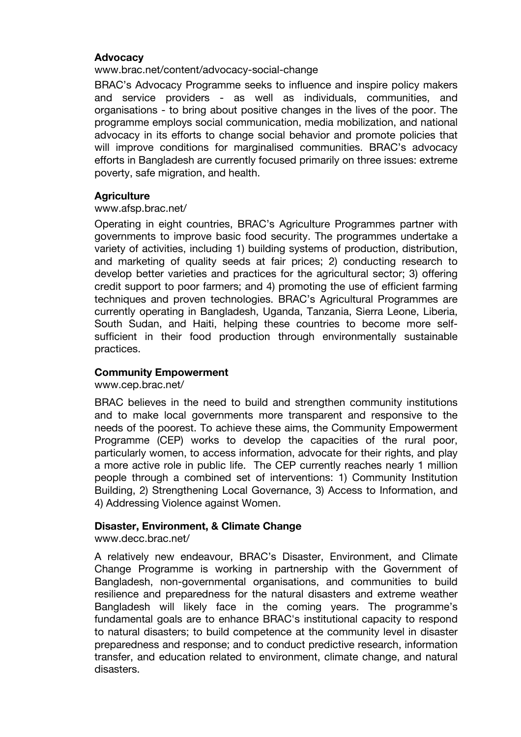## **Advocacy**

### www.brac.net/content/advocacy-social-change

BRAC's Advocacy Programme seeks to influence and inspire policy makers and service providers - as well as individuals, communities, and organisations - to bring about positive changes in the lives of the poor. The programme employs social communication, media mobilization, and national advocacy in its efforts to change social behavior and promote policies that will improve conditions for marginalised communities. BRAC's advocacy efforts in Bangladesh are currently focused primarily on three issues: extreme poverty, safe migration, and health.

## **Agriculture**

#### www.afsp.brac.net/

Operating in eight countries, BRAC's Agriculture Programmes partner with governments to improve basic food security. The programmes undertake a variety of activities, including 1) building systems of production, distribution, and marketing of quality seeds at fair prices; 2) conducting research to develop better varieties and practices for the agricultural sector; 3) offering credit support to poor farmers; and 4) promoting the use of efficient farming techniques and proven technologies. BRAC's Agricultural Programmes are currently operating in Bangladesh, Uganda, Tanzania, Sierra Leone, Liberia, South Sudan, and Haiti, helping these countries to become more selfsufficient in their food production through environmentally sustainable practices.

## **Community Empowerment**

www.cep.brac.net/

BRAC believes in the need to build and strengthen community institutions and to make local governments more transparent and responsive to the needs of the poorest. To achieve these aims, the Community Empowerment Programme (CEP) works to develop the capacities of the rural poor, particularly women, to access information, advocate for their rights, and play a more active role in public life. The CEP currently reaches nearly 1 million people through a combined set of interventions: 1) Community Institution Building, 2) Strengthening Local Governance, 3) Access to Information, and 4) Addressing Violence against Women.

## **Disaster, Environment, & Climate Change**

www.decc.brac.net/

A relatively new endeavour, BRAC's Disaster, Environment, and Climate Change Programme is working in partnership with the Government of Bangladesh, non-governmental organisations, and communities to build resilience and preparedness for the natural disasters and extreme weather Bangladesh will likely face in the coming years. The programme's fundamental goals are to enhance BRAC's institutional capacity to respond to natural disasters; to build competence at the community level in disaster preparedness and response; and to conduct predictive research, information transfer, and education related to environment, climate change, and natural disasters.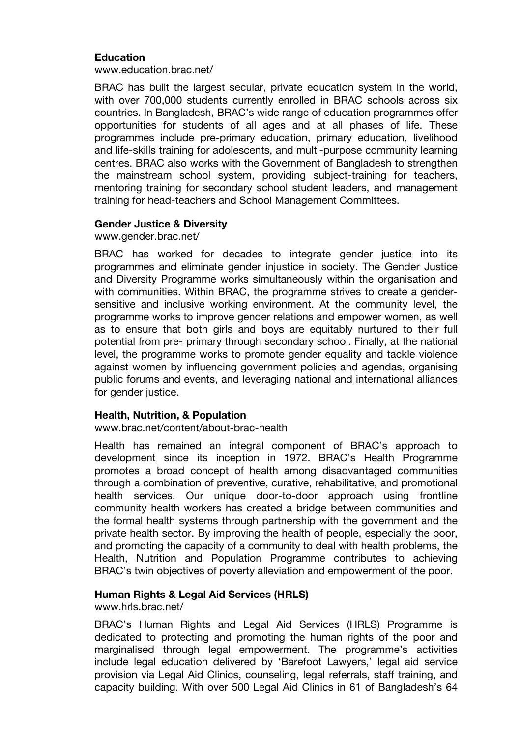## **Education**

www.education.brac.net/

BRAC has built the largest secular, private education system in the world, with over 700,000 students currently enrolled in BRAC schools across six countries. In Bangladesh, BRAC's wide range of education programmes offer opportunities for students of all ages and at all phases of life. These programmes include pre-primary education, primary education, livelihood and life-skills training for adolescents, and multi-purpose community learning centres. BRAC also works with the Government of Bangladesh to strengthen the mainstream school system, providing subject-training for teachers, mentoring training for secondary school student leaders, and management training for head-teachers and School Management Committees.

#### **Gender Justice & Diversity**

www.gender.brac.net/

BRAC has worked for decades to integrate gender justice into its programmes and eliminate gender injustice in society. The Gender Justice and Diversity Programme works simultaneously within the organisation and with communities. Within BRAC, the programme strives to create a gendersensitive and inclusive working environment. At the community level, the programme works to improve gender relations and empower women, as well as to ensure that both girls and boys are equitably nurtured to their full potential from pre- primary through secondary school. Finally, at the national level, the programme works to promote gender equality and tackle violence against women by influencing government policies and agendas, organising public forums and events, and leveraging national and international alliances for gender justice.

#### **Health, Nutrition, & Population**

www.brac.net/content/about-brac-health

Health has remained an integral component of BRAC's approach to development since its inception in 1972. BRAC's Health Programme promotes a broad concept of health among disadvantaged communities through a combination of preventive, curative, rehabilitative, and promotional health services. Our unique door-to-door approach using frontline community health workers has created a bridge between communities and the formal health systems through partnership with the government and the private health sector. By improving the health of people, especially the poor, and promoting the capacity of a community to deal with health problems, the Health, Nutrition and Population Programme contributes to achieving BRAC's twin objectives of poverty alleviation and empowerment of the poor.

## **Human Rights & Legal Aid Services (HRLS)**

www.hrls.brac.net/

BRAC's Human Rights and Legal Aid Services (HRLS) Programme is dedicated to protecting and promoting the human rights of the poor and marginalised through legal empowerment. The programme's activities include legal education delivered by 'Barefoot Lawyers,' legal aid service provision via Legal Aid Clinics, counseling, legal referrals, staff training, and capacity building. With over 500 Legal Aid Clinics in 61 of Bangladesh's 64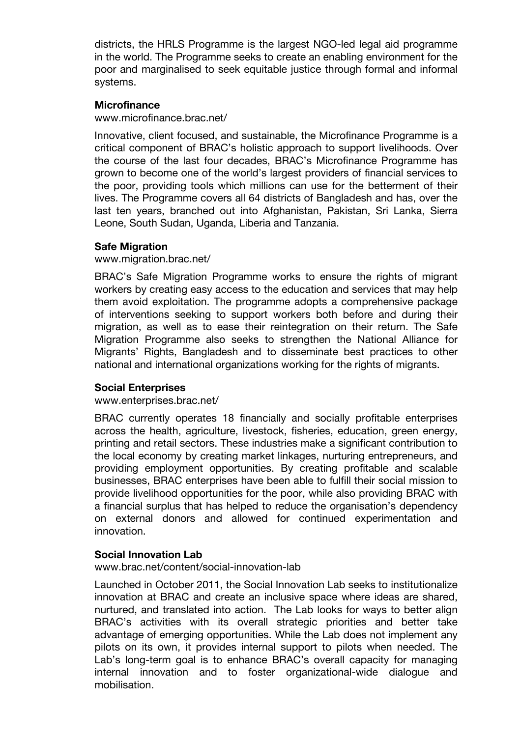districts, the HRLS Programme is the largest NGO-led legal aid programme in the world. The Programme seeks to create an enabling environment for the poor and marginalised to seek equitable justice through formal and informal systems.

## **Microfinance**

www.microfinance.brac.net/

Innovative, client focused, and sustainable, the Microfinance Programme is a critical component of BRAC's holistic approach to support livelihoods. Over the course of the last four decades, BRAC's Microfinance Programme has grown to become one of the world's largest providers of financial services to the poor, providing tools which millions can use for the betterment of their lives. The Programme covers all 64 districts of Bangladesh and has, over the last ten years, branched out into Afghanistan, Pakistan, Sri Lanka, Sierra Leone, South Sudan, Uganda, Liberia and Tanzania.

## **Safe Migration**

### www.migration.brac.net/

BRAC's Safe Migration Programme works to ensure the rights of migrant workers by creating easy access to the education and services that may help them avoid exploitation. The programme adopts a comprehensive package of interventions seeking to support workers both before and during their migration, as well as to ease their reintegration on their return. The Safe Migration Programme also seeks to strengthen the National Alliance for Migrants' Rights, Bangladesh and to disseminate best practices to other national and international organizations working for the rights of migrants.

#### **Social Enterprises**

www.enterprises.brac.net/

BRAC currently operates 18 financially and socially profitable enterprises across the health, agriculture, livestock, fisheries, education, green energy, printing and retail sectors. These industries make a significant contribution to the local economy by creating market linkages, nurturing entrepreneurs, and providing employment opportunities. By creating profitable and scalable businesses, BRAC enterprises have been able to fulfill their social mission to provide livelihood opportunities for the poor, while also providing BRAC with a financial surplus that has helped to reduce the organisation's dependency on external donors and allowed for continued experimentation and innovation.

## **Social Innovation Lab**

www.brac.net/content/social-innovation-lab

Launched in October 2011, the Social Innovation Lab seeks to institutionalize innovation at BRAC and create an inclusive space where ideas are shared, nurtured, and translated into action. The Lab looks for ways to better align BRAC's activities with its overall strategic priorities and better take advantage of emerging opportunities. While the Lab does not implement any pilots on its own, it provides internal support to pilots when needed. The Lab's long-term goal is to enhance BRAC's overall capacity for managing internal innovation and to foster organizational-wide dialogue and mobilisation.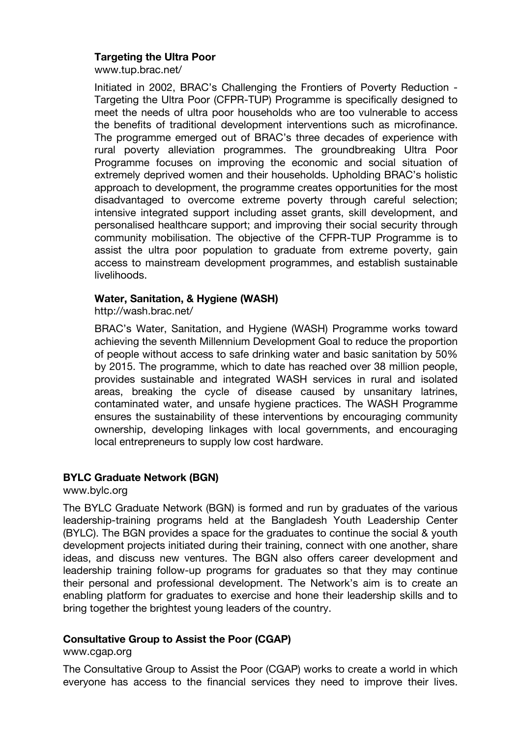## **Targeting the Ultra Poor**

www.tup.brac.net/

Initiated in 2002, BRAC's Challenging the Frontiers of Poverty Reduction - Targeting the Ultra Poor (CFPR-TUP) Programme is specifically designed to meet the needs of ultra poor households who are too vulnerable to access the benefits of traditional development interventions such as microfinance. The programme emerged out of BRAC's three decades of experience with rural poverty alleviation programmes. The groundbreaking Ultra Poor Programme focuses on improving the economic and social situation of extremely deprived women and their households. Upholding BRAC's holistic approach to development, the programme creates opportunities for the most disadvantaged to overcome extreme poverty through careful selection; intensive integrated support including asset grants, skill development, and personalised healthcare support; and improving their social security through community mobilisation. The objective of the CFPR-TUP Programme is to assist the ultra poor population to graduate from extreme poverty, gain access to mainstream development programmes, and establish sustainable livelihoods.

## **Water, Sanitation, & Hygiene (WASH)**

http://wash.brac.net/

BRAC's Water, Sanitation, and Hygiene (WASH) Programme works toward achieving the seventh Millennium Development Goal to reduce the proportion of people without access to safe drinking water and basic sanitation by 50% by 2015. The programme, which to date has reached over 38 million people, provides sustainable and integrated WASH services in rural and isolated areas, breaking the cycle of disease caused by unsanitary latrines, contaminated water, and unsafe hygiene practices. The WASH Programme ensures the sustainability of these interventions by encouraging community ownership, developing linkages with local governments, and encouraging local entrepreneurs to supply low cost hardware.

# **BYLC Graduate Network (BGN)**

www.bylc.org

The BYLC Graduate Network (BGN) is formed and run by graduates of the various leadership-training programs held at the Bangladesh Youth Leadership Center (BYLC). The BGN provides a space for the graduates to continue the social & youth development projects initiated during their training, connect with one another, share ideas, and discuss new ventures. The BGN also offers career development and leadership training follow-up programs for graduates so that they may continue their personal and professional development. The Network's aim is to create an enabling platform for graduates to exercise and hone their leadership skills and to bring together the brightest young leaders of the country.

# **Consultative Group to Assist the Poor (CGAP)**

www.cgap.org

The Consultative Group to Assist the Poor (CGAP) works to create a world in which everyone has access to the financial services they need to improve their lives.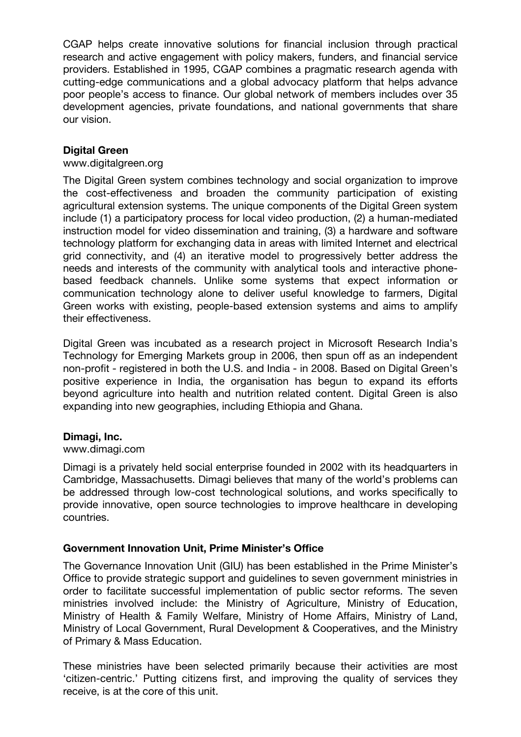CGAP helps create innovative solutions for financial inclusion through practical research and active engagement with policy makers, funders, and financial service providers. Established in 1995, CGAP combines a pragmatic research agenda with cutting-edge communications and a global advocacy platform that helps advance poor people's access to finance. Our global network of members includes over 35 development agencies, private foundations, and national governments that share our vision.

## **Digital Green**

#### www.digitalgreen.org

The Digital Green system combines technology and social organization to improve the cost-effectiveness and broaden the community participation of existing agricultural extension systems. The unique components of the Digital Green system include (1) a participatory process for local video production, (2) a human-mediated instruction model for video dissemination and training, (3) a hardware and software technology platform for exchanging data in areas with limited Internet and electrical grid connectivity, and (4) an iterative model to progressively better address the needs and interests of the community with analytical tools and interactive phonebased feedback channels. Unlike some systems that expect information or communication technology alone to deliver useful knowledge to farmers, Digital Green works with existing, people-based extension systems and aims to amplify their effectiveness.

Digital Green was incubated as a research project in Microsoft Research India's Technology for Emerging Markets group in 2006, then spun off as an independent non-profit - registered in both the U.S. and India - in 2008. Based on Digital Green's positive experience in India, the organisation has begun to expand its efforts beyond agriculture into health and nutrition related content. Digital Green is also expanding into new geographies, including Ethiopia and Ghana.

## **Dimagi, Inc.**

#### www.dimagi.com

Dimagi is a privately held social enterprise founded in 2002 with its headquarters in Cambridge, Massachusetts. Dimagi believes that many of the world's problems can be addressed through low-cost technological solutions, and works specifically to provide innovative, open source technologies to improve healthcare in developing countries.

#### **Government Innovation Unit, Prime Minister's Office**

The Governance Innovation Unit (GIU) has been established in the Prime Minister's Office to provide strategic support and guidelines to seven government ministries in order to facilitate successful implementation of public sector reforms. The seven ministries involved include: the Ministry of Agriculture, Ministry of Education, Ministry of Health & Family Welfare, Ministry of Home Affairs, Ministry of Land, Ministry of Local Government, Rural Development & Cooperatives, and the Ministry of Primary & Mass Education.

These ministries have been selected primarily because their activities are most 'citizen-centric.' Putting citizens first, and improving the quality of services they receive, is at the core of this unit.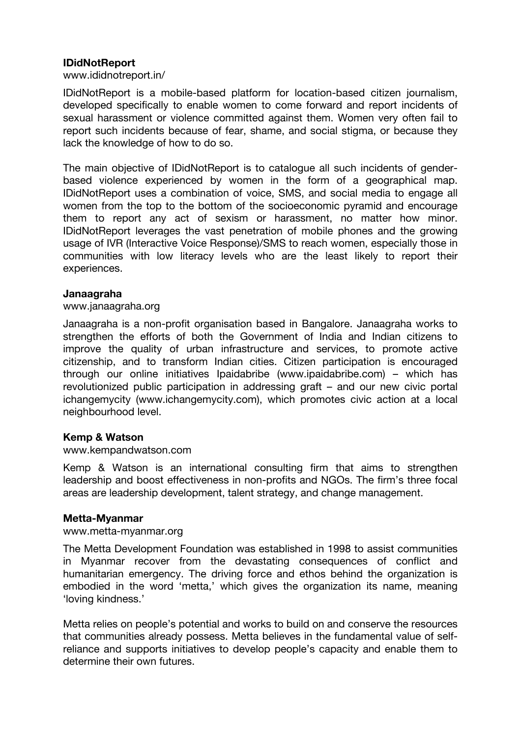### **IDidNotReport**

www.ididnotreport.in/

IDidNotReport is a mobile-based platform for location-based citizen journalism, developed specifically to enable women to come forward and report incidents of sexual harassment or violence committed against them. Women very often fail to report such incidents because of fear, shame, and social stigma, or because they lack the knowledge of how to do so.

The main objective of IDidNotReport is to catalogue all such incidents of genderbased violence experienced by women in the form of a geographical map. IDidNotReport uses a combination of voice, SMS, and social media to engage all women from the top to the bottom of the socioeconomic pyramid and encourage them to report any act of sexism or harassment, no matter how minor. IDidNotReport leverages the vast penetration of mobile phones and the growing usage of IVR (Interactive Voice Response)/SMS to reach women, especially those in communities with low literacy levels who are the least likely to report their experiences.

#### **Janaagraha**

www.janaagraha.org

Janaagraha is a non-profit organisation based in Bangalore. Janaagraha works to strengthen the efforts of both the Government of India and Indian citizens to improve the quality of urban infrastructure and services, to promote active citizenship, and to transform Indian cities. Citizen participation is encouraged through our online initiatives Ipaidabribe (www.ipaidabribe.com) – which has revolutionized public participation in addressing graft – and our new civic portal ichangemycity (www.ichangemycity.com), which promotes civic action at a local neighbourhood level.

#### **Kemp & Watson**

www.kempandwatson.com

Kemp & Watson is an international consulting firm that aims to strengthen leadership and boost effectiveness in non-profits and NGOs. The firm's three focal areas are leadership development, talent strategy, and change management.

#### **Metta-Myanmar**

#### www.metta-myanmar.org

The Metta Development Foundation was established in 1998 to assist communities in Myanmar recover from the devastating consequences of conflict and humanitarian emergency. The driving force and ethos behind the organization is embodied in the word 'metta,' which gives the organization its name, meaning 'loving kindness.'

Metta relies on people's potential and works to build on and conserve the resources that communities already possess. Metta believes in the fundamental value of selfreliance and supports initiatives to develop people's capacity and enable them to determine their own futures.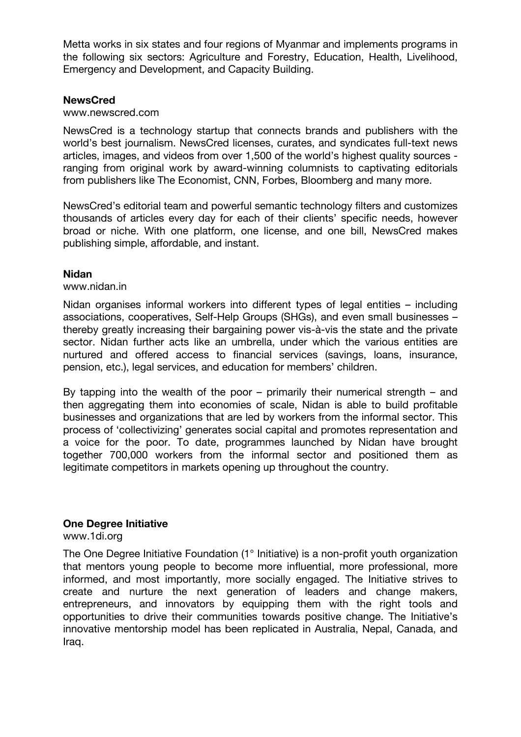Metta works in six states and four regions of Myanmar and implements programs in the following six sectors: Agriculture and Forestry, Education, Health, Livelihood, Emergency and Development, and Capacity Building.

### **NewsCred**

#### www.newscred.com

NewsCred is a technology startup that connects brands and publishers with the world's best journalism. NewsCred licenses, curates, and syndicates full-text news articles, images, and videos from over 1,500 of the world's highest quality sources ranging from original work by award-winning columnists to captivating editorials from publishers like The Economist, CNN, Forbes, Bloomberg and many more.

NewsCred's editorial team and powerful semantic technology filters and customizes thousands of articles every day for each of their clients' specific needs, however broad or niche. With one platform, one license, and one bill, NewsCred makes publishing simple, affordable, and instant.

### **Nidan**

#### www.nidan.in

Nidan organises informal workers into different types of legal entities – including associations, cooperatives, Self-Help Groups (SHGs), and even small businesses – thereby greatly increasing their bargaining power vis-à-vis the state and the private sector. Nidan further acts like an umbrella, under which the various entities are nurtured and offered access to financial services (savings, loans, insurance, pension, etc.), legal services, and education for members' children.

By tapping into the wealth of the poor – primarily their numerical strength – and then aggregating them into economies of scale, Nidan is able to build profitable businesses and organizations that are led by workers from the informal sector. This process of 'collectivizing' generates social capital and promotes representation and a voice for the poor. To date, programmes launched by Nidan have brought together 700,000 workers from the informal sector and positioned them as legitimate competitors in markets opening up throughout the country.

#### **One Degree Initiative**

www.1di.org

The One Degree Initiative Foundation (1° Initiative) is a non-profit youth organization that mentors young people to become more influential, more professional, more informed, and most importantly, more socially engaged. The Initiative strives to create and nurture the next generation of leaders and change makers, entrepreneurs, and innovators by equipping them with the right tools and opportunities to drive their communities towards positive change. The Initiative's innovative mentorship model has been replicated in Australia, Nepal, Canada, and Iraq.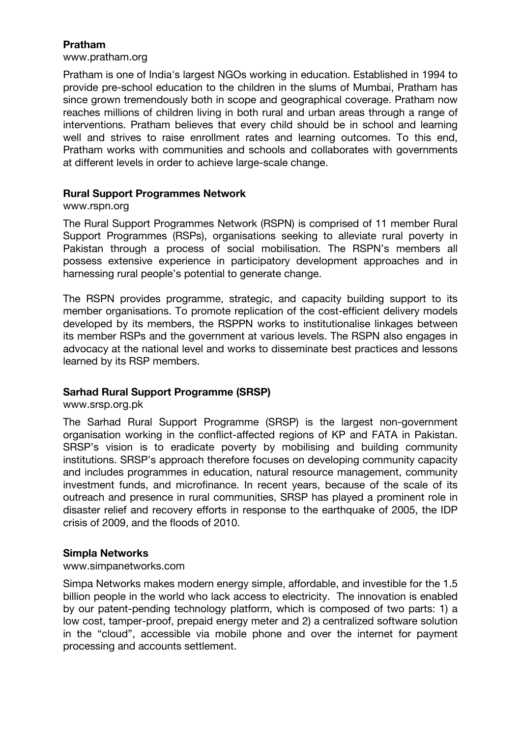## **Pratham**

www.pratham.org

Pratham is one of India's largest NGOs working in education. Established in 1994 to provide pre-school education to the children in the slums of Mumbai, Pratham has since grown tremendously both in scope and geographical coverage. Pratham now reaches millions of children living in both rural and urban areas through a range of interventions. Pratham believes that every child should be in school and learning well and strives to raise enrollment rates and learning outcomes. To this end, Pratham works with communities and schools and collaborates with governments at different levels in order to achieve large-scale change.

## **Rural Support Programmes Network**

www.rspn.org

The Rural Support Programmes Network (RSPN) is comprised of 11 member Rural Support Programmes (RSPs), organisations seeking to alleviate rural poverty in Pakistan through a process of social mobilisation. The RSPN's members all possess extensive experience in participatory development approaches and in harnessing rural people's potential to generate change.

The RSPN provides programme, strategic, and capacity building support to its member organisations. To promote replication of the cost-efficient delivery models developed by its members, the RSPPN works to institutionalise linkages between its member RSPs and the government at various levels. The RSPN also engages in advocacy at the national level and works to disseminate best practices and lessons learned by its RSP members.

## **Sarhad Rural Support Programme (SRSP)**

www.srsp.org.pk

The Sarhad Rural Support Programme (SRSP) is the largest non-government organisation working in the conflict-affected regions of KP and FATA in Pakistan. SRSP's vision is to eradicate poverty by mobilising and building community institutions. SRSP's approach therefore focuses on developing community capacity and includes programmes in education, natural resource management, community investment funds, and microfinance. In recent years, because of the scale of its outreach and presence in rural communities, SRSP has played a prominent role in disaster relief and recovery efforts in response to the earthquake of 2005, the IDP crisis of 2009, and the floods of 2010.

## **Simpla Networks**

#### www.simpanetworks.com

Simpa Networks makes modern energy simple, affordable, and investible for the 1.5 billion people in the world who lack access to electricity. The innovation is enabled by our patent-pending technology platform, which is composed of two parts: 1) a low cost, tamper-proof, prepaid energy meter and 2) a centralized software solution in the "cloud", accessible via mobile phone and over the internet for payment processing and accounts settlement.